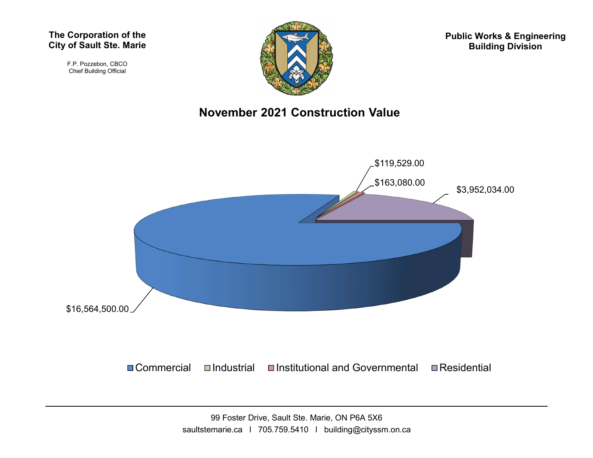#### The Corporation of the City of Sault Ste. Marie

F.P. Pozzebon, CBCO Chief Building Official



Public Works & Engineering Building Division

#### November 2021 Construction Value

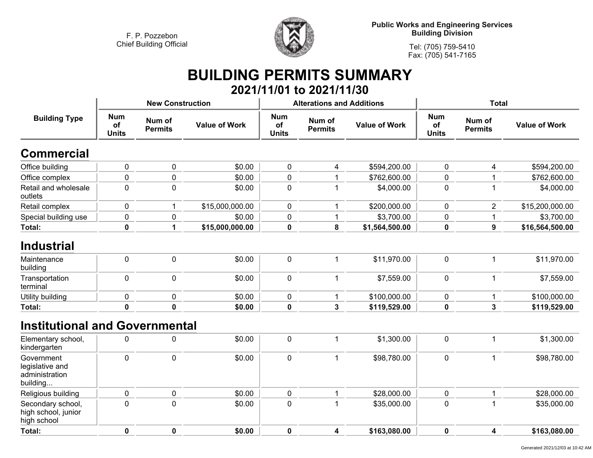

**Public Works and Engineering Services Building Division**

**Tel: (705) 759-5410 Fax: (705) 541-7165**

# **BUILDING PERMITS SUMMARY**

|                                                             |                                      |                          |                      |                                  | 2021/11/01 to 2021/11/30                         |                |                                  |                          |                      |
|-------------------------------------------------------------|--------------------------------------|--------------------------|----------------------|----------------------------------|--------------------------------------------------|----------------|----------------------------------|--------------------------|----------------------|
|                                                             |                                      | <b>New Construction</b>  |                      |                                  | <b>Alterations and Additions</b>                 |                | <b>Total</b>                     |                          |                      |
| <b>Building Type</b>                                        | <b>Num</b><br>of<br><b>Units</b>     | Num of<br><b>Permits</b> | <b>Value of Work</b> | <b>Num</b><br>of<br><b>Units</b> | Num of<br><b>Value of Work</b><br><b>Permits</b> |                | <b>Num</b><br>of<br><b>Units</b> | Num of<br><b>Permits</b> | <b>Value of Work</b> |
| <b>Commercial</b>                                           |                                      |                          |                      |                                  |                                                  |                |                                  |                          |                      |
| Office building                                             | $\pmb{0}$                            | $\pmb{0}$                | \$0.00               | $\mathbf 0$                      | 4                                                | \$594,200.00   | $\pmb{0}$                        | 4                        | \$594,200.00         |
| Office complex                                              | $\pmb{0}$                            | 0                        | \$0.00               | 0                                | 1                                                | \$762,600.00   | $\pmb{0}$                        | 1                        | \$762,600.00         |
| Retail and wholesale<br>outlets                             | $\mathbf 0$                          | $\mathbf 0$              | \$0.00               | 0                                | 1                                                | \$4,000.00     | $\mathbf 0$                      | $\mathbf 1$              | \$4,000.00           |
| Retail complex                                              | 0                                    | 1                        | \$15,000,000.00      | 0                                | 1                                                | \$200,000.00   | $\mathbf 0$                      | $\overline{2}$           | \$15,200,000.00      |
| Special building use                                        | $\pmb{0}$                            | 0                        | \$0.00               | 0                                | $\mathbf{1}$                                     | \$3,700.00     | $\pmb{0}$                        | 1                        | \$3,700.00           |
| Total:                                                      | $\pmb{0}$                            | 1                        | \$15,000,000.00      | 0                                | 8                                                | \$1,564,500.00 | $\pmb{0}$                        | $\boldsymbol{9}$         | \$16,564,500.00      |
| <b>Industrial</b>                                           |                                      |                          |                      |                                  |                                                  |                |                                  |                          |                      |
| Maintenance<br>building                                     | $\pmb{0}$                            | $\pmb{0}$                | \$0.00               | 0                                | $\mathbf{1}$                                     | \$11,970.00    | $\pmb{0}$                        | 1                        | \$11,970.00          |
| Transportation<br>terminal                                  | $\pmb{0}$                            | $\pmb{0}$                | \$0.00               | 0                                | $\mathbf{1}$                                     | \$7,559.00     | $\pmb{0}$                        | $\mathbf{1}$             | \$7,559.00           |
| Utility building                                            | $\pmb{0}$                            | $\pmb{0}$                | \$0.00               | 0                                | 1                                                | \$100,000.00   | $\pmb{0}$                        | 1                        | \$100,000.00         |
| Total:                                                      | $\pmb{0}$                            | $\mathbf 0$              | \$0.00               | 0                                | $\mathbf{3}$                                     | \$119,529.00   | $\pmb{0}$                        | $\mathbf{3}$             | \$119,529.00         |
| <b>Institutional and Governmental</b>                       |                                      |                          |                      |                                  |                                                  |                |                                  |                          |                      |
| Elementary school,<br>kindergarten                          | $\pmb{0}$                            | $\pmb{0}$                | \$0.00               | 0                                | $\mathbf 1$                                      | \$1,300.00     | $\pmb{0}$                        | $\mathbf{1}$             | \$1,300.00           |
| Government<br>legislative and<br>administration<br>building | $\mathbf 0$                          | $\mathbf 0$              | \$0.00               | 0                                | $\mathbf{1}$                                     | \$98,780.00    | $\pmb{0}$                        | $\mathbf{1}$             | \$98,780.00          |
| Religious building                                          | 0                                    | $\pmb{0}$                | \$0.00               | 0                                | 1                                                | \$28,000.00    | $\mathbf 0$                      | $\mathbf 1$              | \$28,000.00          |
| Secondary school,<br>high school, junior<br>high school     | $\mathbf 0$<br>$\mathbf 0$<br>\$0.00 |                          |                      | $\pmb{0}$                        | 1                                                | \$35,000.00    | $\mathbf 0$                      | $\mathbf{1}$             | \$35,000.00          |
| Total:                                                      | $\pmb{0}$                            | $\mathbf 0$              | \$0.00               | 0                                | 4                                                | \$163,080.00   | $\mathbf 0$                      | 4                        | \$163,080.00         |
|                                                             |                                      |                          |                      |                                  |                                                  |                |                                  |                          |                      |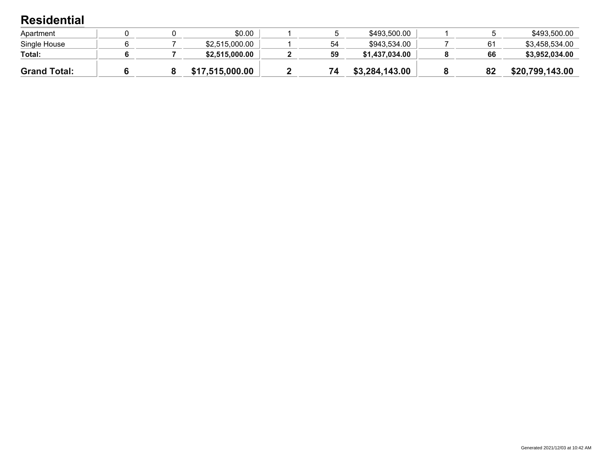### **Residential**

| <b>Grand Total:</b> |  | \$17,515,000.00 | 74 | \$3,284,143.00 | 82 | \$20,799,143.00 |
|---------------------|--|-----------------|----|----------------|----|-----------------|
| Total:              |  | \$2,515,000.00  | 59 | \$1,437,034.00 | 66 | \$3,952,034.00  |
| Single House        |  | \$2,515,000.00  | 54 | \$943,534.00   |    | \$3,458,534.00  |
| Apartment           |  | \$0.00          |    | \$493,500.00   |    | \$493,500.00    |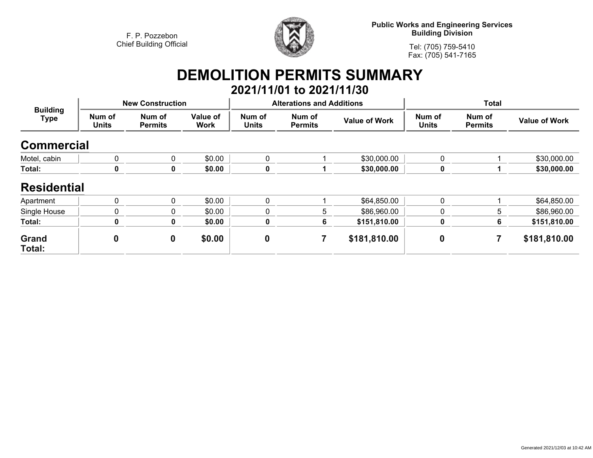

**Public Works and Engineering Services Building Division**

**Tel: (705) 759-5410Fax: (705) 541-7165**

# **DEMOLITION PERMITS SUMMARY 2021/11/01 to 2021/11/30**

| <b>Building</b><br><b>Type</b> |                        | <b>New Construction</b>  |                         |                        | <b>Alterations and Additions</b> |                      | <b>Total</b>           |                          |                      |
|--------------------------------|------------------------|--------------------------|-------------------------|------------------------|----------------------------------|----------------------|------------------------|--------------------------|----------------------|
|                                | Num of<br><b>Units</b> | Num of<br><b>Permits</b> | Value of<br><b>Work</b> | Num of<br><b>Units</b> | Num of<br><b>Permits</b>         | <b>Value of Work</b> | Num of<br><b>Units</b> | Num of<br><b>Permits</b> | <b>Value of Work</b> |
| <b>Commercial</b>              |                        |                          |                         |                        |                                  |                      |                        |                          |                      |
| Motel, cabin                   | 0                      | 0                        | \$0.00                  | 0                      |                                  | \$30,000.00          | $\mathbf 0$            |                          | \$30,000.00          |
| Total:                         | 0                      | 0                        | \$0.00                  | 0                      |                                  | \$30,000.00          | 0                      |                          | \$30,000.00          |
| <b>Residential</b>             |                        |                          |                         |                        |                                  |                      |                        |                          |                      |
| Apartment                      | 0                      | 0                        | \$0.00                  | 0                      |                                  | \$64,850.00          | 0                      |                          | \$64,850.00          |
| Single House                   | 0                      | 0                        | \$0.00                  | 0                      | 5                                | \$86,960.00          | $\mathbf 0$            | 5                        | \$86,960.00          |
| Total:                         | 0                      | 0                        | \$0.00                  | 0                      | 6                                | \$151,810.00         | $\mathbf 0$            | 6                        | \$151,810.00         |
| Grand<br>Total:                | $\bf{0}$               | 0                        | \$0.00                  | $\boldsymbol{0}$       | 7                                | \$181,810.00         | $\boldsymbol{0}$       |                          | \$181,810.00         |